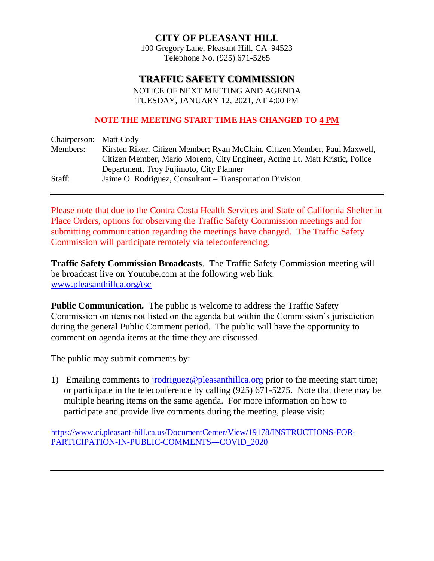### **CITY OF PLEASANT HILL**

100 Gregory Lane, Pleasant Hill, CA 94523 Telephone No. (925) 671-5265

# **TRAFFIC SAFETY COMMISSION**

NOTICE OF NEXT MEETING AND AGENDA TUESDAY, JANUARY 12, 2021, AT 4:00 PM

#### **NOTE THE MEETING START TIME HAS CHANGED TO 4 PM**

| Chairperson: Matt Cody |                                                                              |
|------------------------|------------------------------------------------------------------------------|
| Members:               | Kirsten Riker, Citizen Member; Ryan McClain, Citizen Member, Paul Maxwell,   |
|                        | Citizen Member, Mario Moreno, City Engineer, Acting Lt. Matt Kristic, Police |
|                        | Department, Troy Fujimoto, City Planner                                      |
| Staff:                 | Jaime O. Rodriguez, Consultant – Transportation Division                     |

Please note that due to the Contra Costa Health Services and State of California Shelter in Place Orders, options for observing the Traffic Safety Commission meetings and for submitting communication regarding the meetings have changed. The Traffic Safety Commission will participate remotely via teleconferencing.

**Traffic Safety Commission Broadcasts**. The Traffic Safety Commission meeting will be broadcast live on Youtube.com at the following web link: [www.pleasanthillca.org/tsc](http://www.pleasanthillca.org/tsc)

**Public Communication.** The public is welcome to address the Traffic Safety Commission on items not listed on the agenda but within the Commission's jurisdiction during the general Public Comment period. The public will have the opportunity to comment on agenda items at the time they are discussed.

The public may submit comments by:

1) Emailing comments to *jrodriguez@pleasanthillca.org prior* to the meeting start time; or participate in the teleconference by calling (925) 671-5275. Note that there may be multiple hearing items on the same agenda. For more information on how to participate and provide live comments during the meeting, please visit:

[https://www.ci.pleasant-hill.ca.us/DocumentCenter/View/19178/INSTRUCTIONS-FOR-](https://www.ci.pleasant-hill.ca.us/DocumentCenter/View/19178/INSTRUCTIONS-FOR-PARTICIPATION-IN-PUBLIC-COMMENTS---COVID_2020)[PARTICIPATION-IN-PUBLIC-COMMENTS---COVID\\_2020](https://www.ci.pleasant-hill.ca.us/DocumentCenter/View/19178/INSTRUCTIONS-FOR-PARTICIPATION-IN-PUBLIC-COMMENTS---COVID_2020)